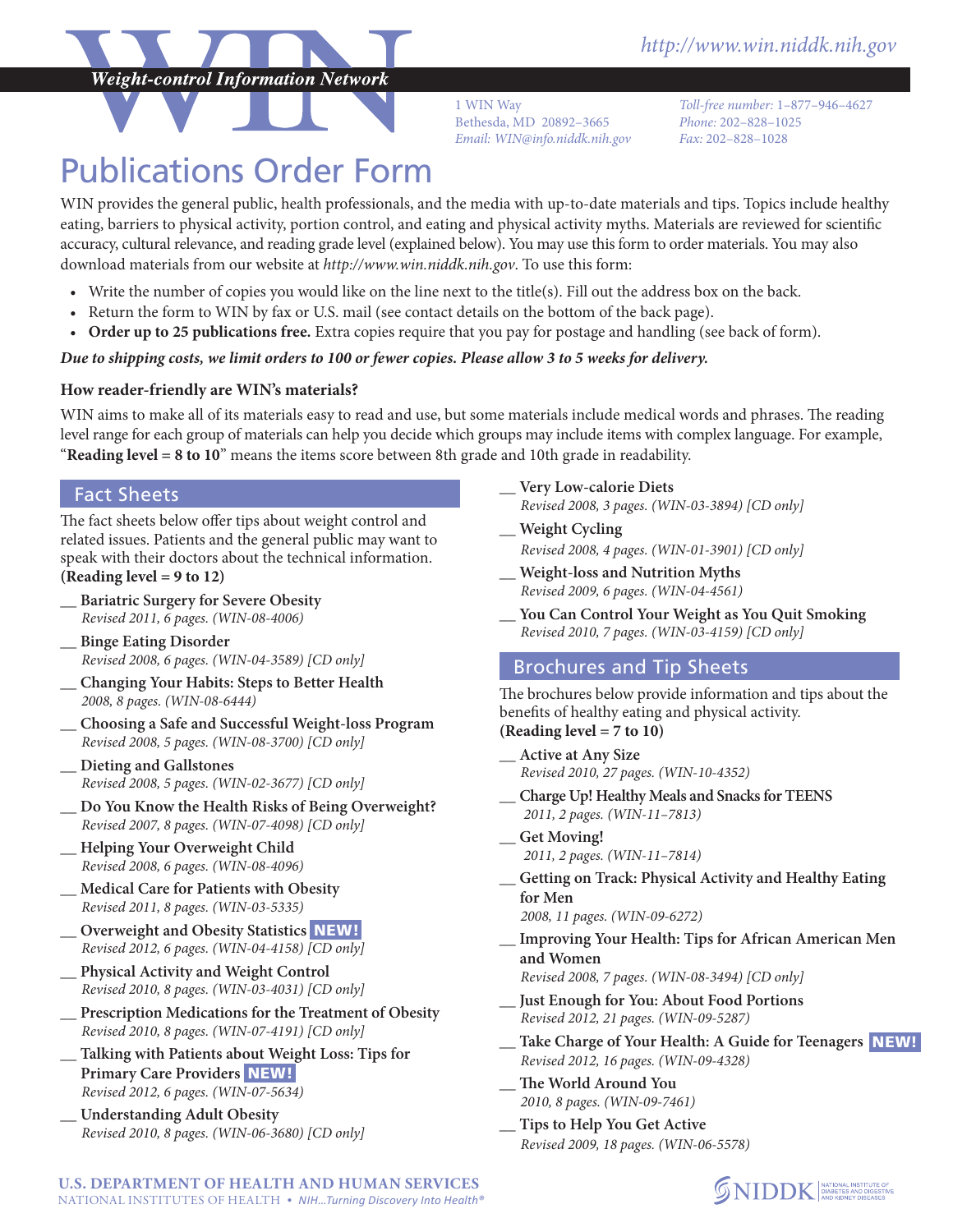

1 WIN Way Bethesda, MD 20892–3665 *Email: [WIN@info.niddk.nih.gov](mailto:WIN%40info.niddk.nih.gov?subject=WIN%20Publication%20Order%20Request) Fax:* 202–828–1028

*Toll-free number:* 1–877–946–4627 *Phone:* 202–828–1025

# Publications Order Form

WIN provides the general public, health professionals, and the media with up-to-date materials and tips. Topics include healthy eating, barriers to physical activity, portion control, and eating and physical activity myths. Materials are reviewed for scientific accuracy, cultural relevance, and reading grade level (explained below). You may use this form to order materials. You may also download materials from our website at *<http://www.win.niddk.nih.gov>*. To use this form:

- • Write the number of copies you would like on the line next to the title(s). Fill out the address box on the back.
- • Return the form to WIN by fax or U.S. mail (see contact details on the bottom of the back page).
- • **Order up to 25 publications free.** Extra copies require that you pay for postage and handling (see back of form).

## *Due to shipping costs, we limit orders to 100 or fewer copies. Please allow 3 to 5 weeks for delivery.*

## **How reader-friendly are WIN's materials?**

WIN aims to make all of its materials easy to read and use, but some materials include medical words and phrases. The reading level range for each group of materials can help you decide which groups may include items with complex language. For example, "**Reading level = 8 to 10**" means the items score between 8th grade and 10th grade in readability.

## Fact Sheets

The fact sheets below offer tips about weight control and related issues. Patients and the general public may want to speak with their doctors about the technical information. **(Reading level = 9 to 12)** 

- **\_\_ Bariatric Surgery for Severe Obesity** *Revised 2011, 6 pages. (WIN-08-4006)*
- **\_\_ Binge Eating Disorder** *Revised 2008, 6 pages. (WIN-04-3589) [CD only]*
- **\_\_ Changing Your Habits: Steps to Better Health** *2008, 8 pages. (WIN-08-6444)*
- **\_\_ Choosing a Safe and Successful Weight-loss Program** *Revised 2008, 5 pages. (WIN-08-3700) [CD only]*
- **\_\_ Dieting and Gallstones** *Revised 2008, 5 pages. (WIN-02-3677) [CD only]*
- **\_\_ Do You Know the Health Risks of Being Overweight?** *Revised 2007, 8 pages. (WIN-07-4098) [CD only]*
- **\_\_ Helping Your Overweight Child** *Revised 2008, 6 pages. (WIN-08-4096)*
- **\_\_ Medical Care for Patients with Obesity** *Revised 2011, 8 pages. (WIN-03-5335)*
- **\_\_ Overweight and Obesity Statistics** NEW! *Revised 2012, 6 pages. (WIN-04-4158) [CD only]*
- **\_\_ Physical Activity and Weight Control** *Revised 2010, 8 pages. (WIN-03-4031) [CD only]*
- **\_\_ Prescription Medications for the Treatment of Obesity** *Revised 2010, 8 pages. (WIN-07-4191) [CD only]*
- **\_\_ Talking with Patients about Weight Loss: Tips for Primary Care Providers NEW!** *Revised 2012, 6 pages. (WIN-07-5634)*
- **\_\_ Understanding Adult Obesity** *Revised 2010, 8 pages. (WIN-06-3680) [CD only]*
- **\_\_ Very Low-calorie Diets**
- *Revised 2008, 3 pages. (WIN-03-3894) [CD only]*
- **\_\_ Weight Cycling** *Revised 2008, 4 pages. (WIN-01-3901) [CD only]*
- **\_\_ Weight-loss and Nutrition Myths** *Revised 2009, 6 pages. (WIN-04-4561)*
- **\_\_ You Can Control Your Weight as You Quit Smoking** *Revised 2010, 7 pages. (WIN-03-4159) [CD only]*

# Brochures and Tip Sheets

The brochures below provide information and tips about the benefits of healthy eating and physical activity. **(Reading level = 7 to 10)**

- **\_\_ Active at Any Size** *Revised 2010, 27 pages. (WIN-10-4352)*
- **\_\_ Charge Up! Healthy Meals and Snacks for TEENS**   *2011, 2 pages. (WIN-11–7813)*
- **\_\_ Get Moving!** *2011, 2 pages. (WIN-11–7814)*
- **\_\_ Getting on Track: Physical Activity and Healthy Eating for Men**

*2008, 11 pages. (WIN-09-6272)*

- **\_\_ Improving Your Health: Tips for African American Men and Women**
- *Revised 2008, 7 pages. (WIN-08-3494) [CD only]* **\_\_ Just Enough for You: About Food Portions**
- *Revised 2012, 21 pages. (WIN-09-5287)*
- **\_\_ Take Charge of Your Health: A Guide for Teenagers** NEW! *Revised 2012, 16 pages. (WIN-09-4328)*
- **\_\_ The World Around You** *2010, 8 pages. (WIN-09-7461)*
- **\_\_ Tips to Help You Get Active** *Revised 2009, 18 pages. (WIN-06-5578)*!